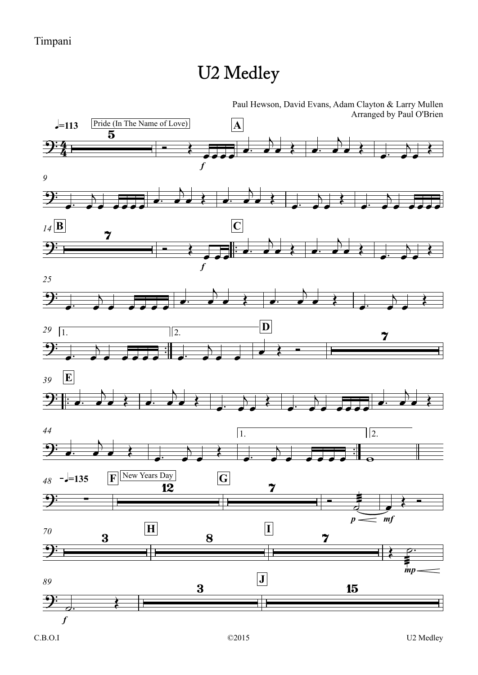## U2 Medley